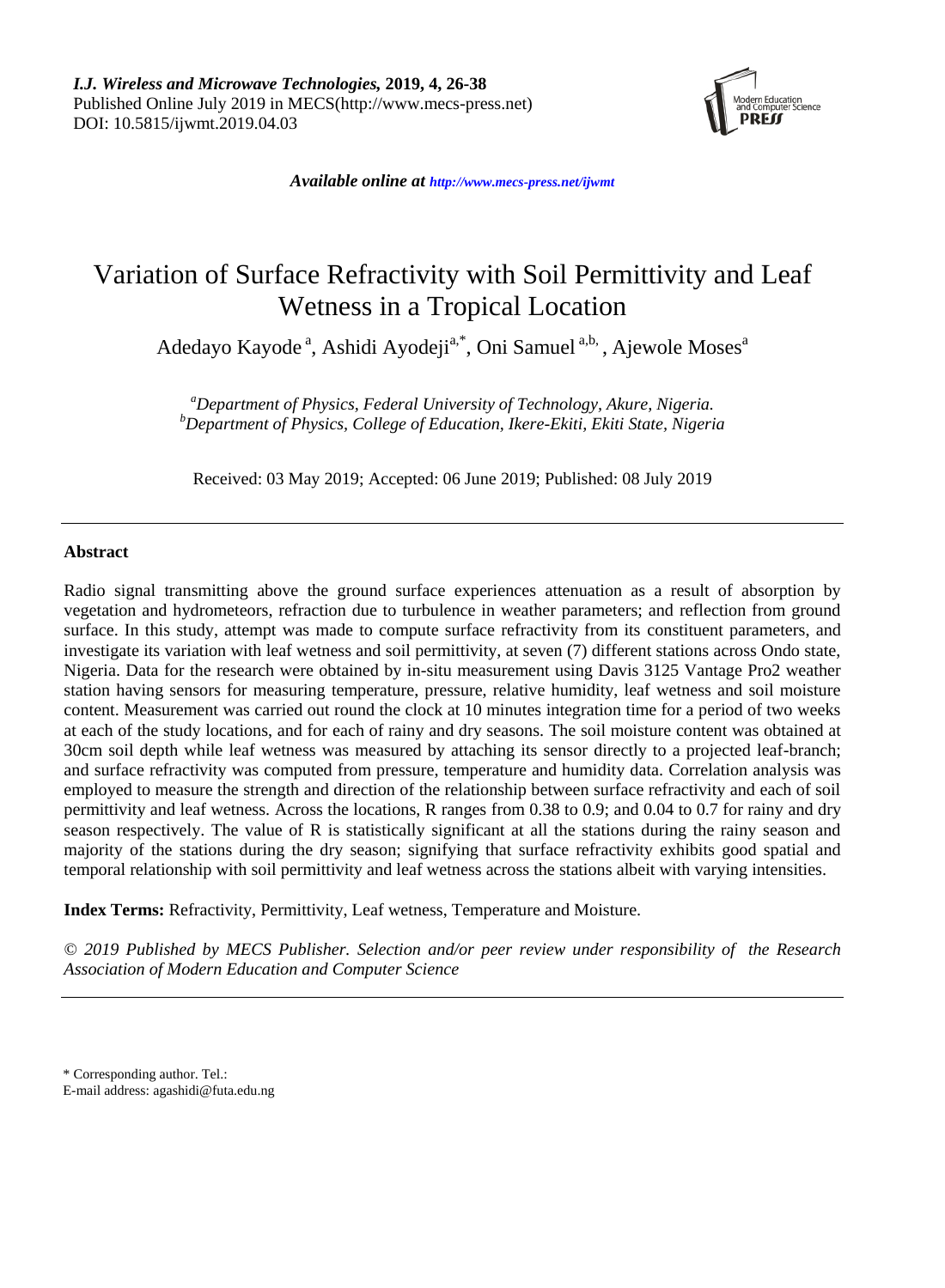

*Available online at <http://www.mecs-press.net/ijwmt>*

# Variation of Surface Refractivity with Soil Permittivity and Leaf Wetness in a Tropical Location

Adedayo Kayode<sup>a</sup>, Ashidi Ayodeji<sup>a,\*</sup>, Oni Samuel<sup>a,b,</sup> , Ajewole Moses<sup>a</sup>

*<sup>a</sup>Department of Physics, Federal University of Technology, Akure, Nigeria. <sup>b</sup>Department of Physics, College of Education, Ikere-Ekiti, Ekiti State, Nigeria*

Received: 03 May 2019; Accepted: 06 June 2019; Published: 08 July 2019

# **Abstract**

Radio signal transmitting above the ground surface experiences attenuation as a result of absorption by vegetation and hydrometeors, refraction due to turbulence in weather parameters; and reflection from ground surface. In this study, attempt was made to compute surface refractivity from its constituent parameters, and investigate its variation with leaf wetness and soil permittivity, at seven (7) different stations across Ondo state, Nigeria. Data for the research were obtained by in-situ measurement using Davis 3125 Vantage Pro2 weather station having sensors for measuring temperature, pressure, relative humidity, leaf wetness and soil moisture content. Measurement was carried out round the clock at 10 minutes integration time for a period of two weeks at each of the study locations, and for each of rainy and dry seasons. The soil moisture content was obtained at 30cm soil depth while leaf wetness was measured by attaching its sensor directly to a projected leaf-branch; and surface refractivity was computed from pressure, temperature and humidity data. Correlation analysis was employed to measure the strength and direction of the relationship between surface refractivity and each of soil permittivity and leaf wetness. Across the locations, R ranges from 0.38 to 0.9; and 0.04 to 0.7 for rainy and dry season respectively. The value of R is statistically significant at all the stations during the rainy season and majority of the stations during the dry season; signifying that surface refractivity exhibits good spatial and temporal relationship with soil permittivity and leaf wetness across the stations albeit with varying intensities.

**Index Terms:** Refractivity, Permittivity, Leaf wetness, Temperature and Moisture.

*© 2019 Published by MECS Publisher. Selection and/or peer review under responsibility of the Research Association of Modern Education and Computer Science*

\* Corresponding author. Tel.:

E-mail address: agashidi@futa.edu.ng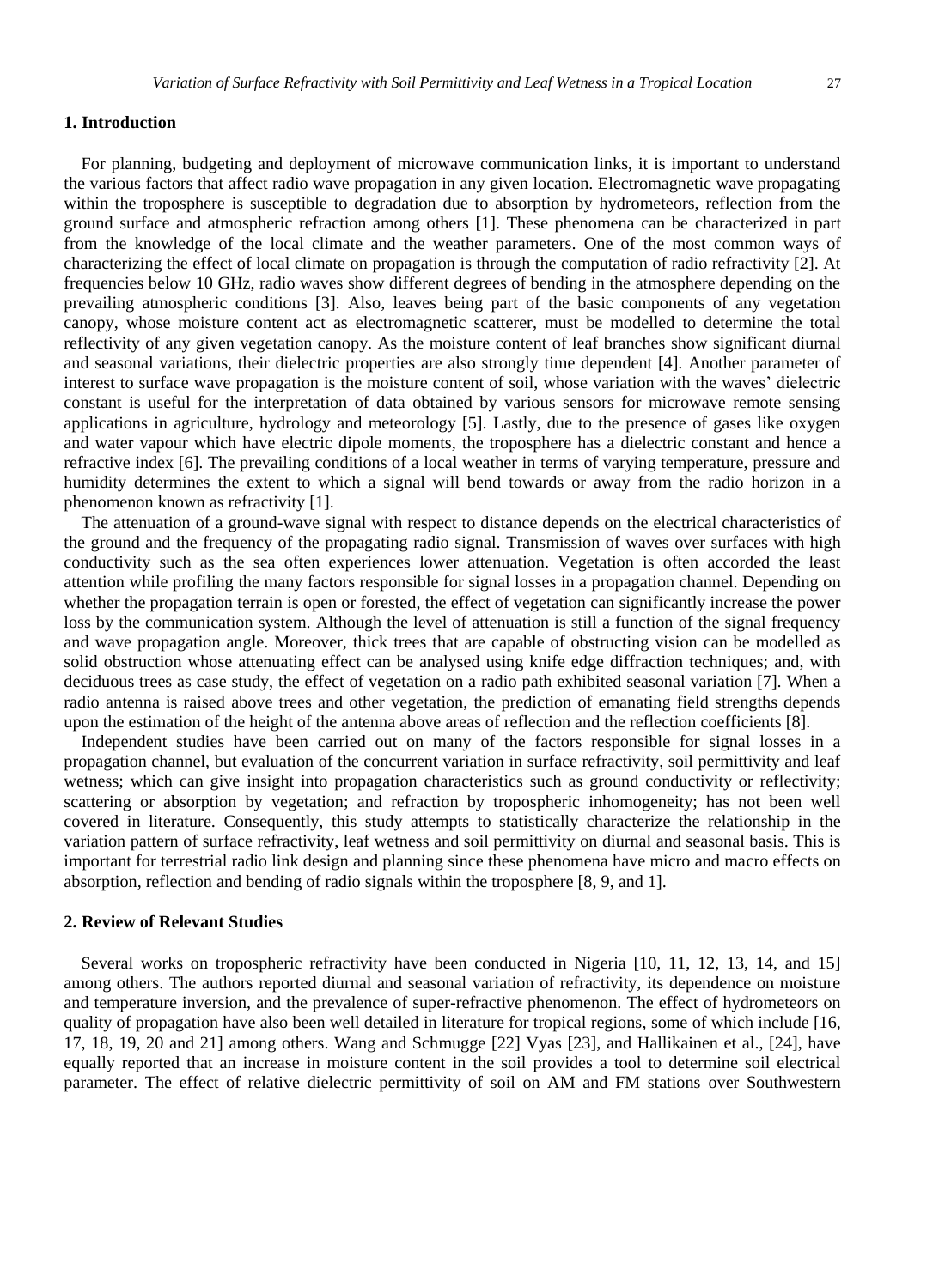# **1. Introduction**

For planning, budgeting and deployment of microwave communication links, it is important to understand the various factors that affect radio wave propagation in any given location. Electromagnetic wave propagating within the troposphere is susceptible to degradation due to absorption by hydrometeors, reflection from the ground surface and atmospheric refraction among others [1]. These phenomena can be characterized in part from the knowledge of the local climate and the weather parameters. One of the most common ways of characterizing the effect of local climate on propagation is through the computation of radio refractivity [2]. At frequencies below 10 GHz, radio waves show different degrees of bending in the atmosphere depending on the prevailing atmospheric conditions [3]. Also, leaves being part of the basic components of any vegetation canopy, whose moisture content act as electromagnetic scatterer, must be modelled to determine the total reflectivity of any given vegetation canopy. As the moisture content of leaf branches show significant diurnal and seasonal variations, their dielectric properties are also strongly time dependent [4]. Another parameter of interest to surface wave propagation is the moisture content of soil, whose variation with the waves' dielectric constant is useful for the interpretation of data obtained by various sensors for microwave remote sensing applications in agriculture, hydrology and meteorology [5]. Lastly, due to the presence of gases like oxygen and water vapour which have electric dipole moments, the troposphere has a dielectric constant and hence a refractive index [6]. The prevailing conditions of a local weather in terms of varying temperature, pressure and humidity determines the extent to which a signal will bend towards or away from the radio horizon in a phenomenon known as refractivity [1].

The attenuation of a ground-wave signal with respect to distance depends on the electrical characteristics of the ground and the frequency of the propagating radio signal. Transmission of waves over surfaces with high conductivity such as the sea often experiences lower attenuation. Vegetation is often accorded the least attention while profiling the many factors responsible for signal losses in a propagation channel. Depending on whether the propagation terrain is open or forested, the effect of vegetation can significantly increase the power loss by the communication system. Although the level of attenuation is still a function of the signal frequency and wave propagation angle. Moreover, thick trees that are capable of obstructing vision can be modelled as solid obstruction whose attenuating effect can be analysed using knife edge diffraction techniques; and, with deciduous trees as case study, the effect of vegetation on a radio path exhibited seasonal variation [7]. When a radio antenna is raised above trees and other vegetation, the prediction of emanating field strengths depends upon the estimation of the height of the antenna above areas of reflection and the reflection coefficients [8].

Independent studies have been carried out on many of the factors responsible for signal losses in a propagation channel, but evaluation of the concurrent variation in surface refractivity, soil permittivity and leaf wetness; which can give insight into propagation characteristics such as ground conductivity or reflectivity; scattering or absorption by vegetation; and refraction by tropospheric inhomogeneity; has not been well covered in literature. Consequently, this study attempts to statistically characterize the relationship in the variation pattern of surface refractivity, leaf wetness and soil permittivity on diurnal and seasonal basis. This is important for terrestrial radio link design and planning since these phenomena have micro and macro effects on absorption, reflection and bending of radio signals within the troposphere [8, 9, and 1].

#### **2. Review of Relevant Studies**

Several works on tropospheric refractivity have been conducted in Nigeria [10, 11, 12, 13, 14, and 15] among others. The authors reported diurnal and seasonal variation of refractivity, its dependence on moisture and temperature inversion, and the prevalence of super-refractive phenomenon. The effect of hydrometeors on quality of propagation have also been well detailed in literature for tropical regions, some of which include [16, 17, 18, 19, 20 and 21] among others. Wang and Schmugge [22] Vyas [23], and Hallikainen et al., [24], have equally reported that an increase in moisture content in the soil provides a tool to determine soil electrical parameter. The effect of relative dielectric permittivity of soil on AM and FM stations over Southwestern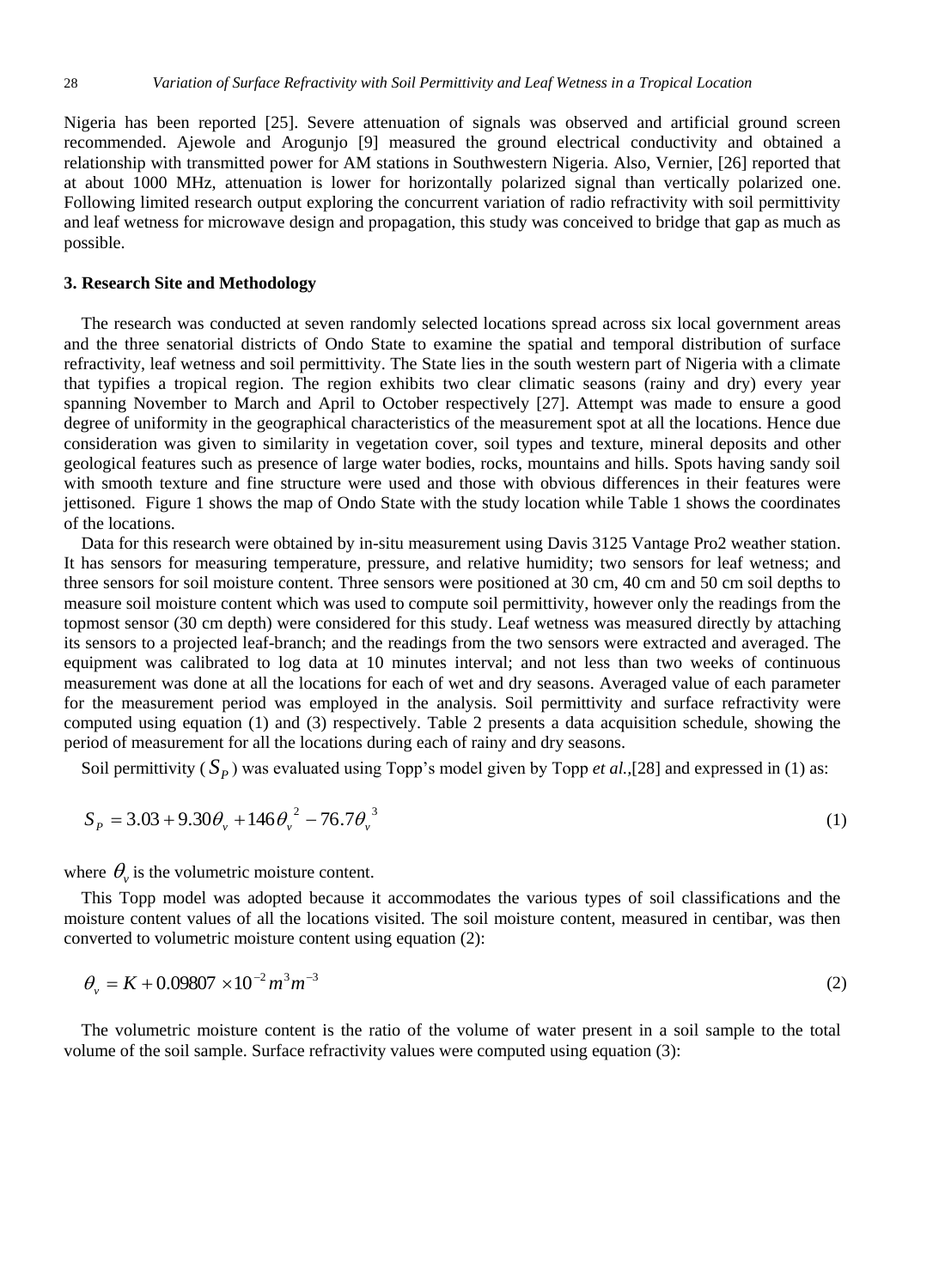Nigeria has been reported [25]. Severe attenuation of signals was observed and artificial ground screen recommended. Ajewole and Arogunjo [9] measured the ground electrical conductivity and obtained a relationship with transmitted power for AM stations in Southwestern Nigeria. Also, Vernier, [26] reported that at about 1000 MHz, attenuation is lower for horizontally polarized signal than vertically polarized one. Following limited research output exploring the concurrent variation of radio refractivity with soil permittivity and leaf wetness for microwave design and propagation, this study was conceived to bridge that gap as much as possible.

#### **3. Research Site and Methodology**

The research was conducted at seven randomly selected locations spread across six local government areas and the three senatorial districts of Ondo State to examine the spatial and temporal distribution of surface refractivity, leaf wetness and soil permittivity. The State lies in the south western part of Nigeria with a climate that typifies a tropical region. The region exhibits two clear climatic seasons (rainy and dry) every year spanning November to March and April to October respectively [27]. Attempt was made to ensure a good degree of uniformity in the geographical characteristics of the measurement spot at all the locations. Hence due consideration was given to similarity in vegetation cover, soil types and texture, mineral deposits and other geological features such as presence of large water bodies, rocks, mountains and hills. Spots having sandy soil with smooth texture and fine structure were used and those with obvious differences in their features were jettisoned. Figure 1 shows the map of Ondo State with the study location while Table 1 shows the coordinates of the locations.

Data for this research were obtained by in-situ measurement using Davis 3125 Vantage Pro2 weather station. It has sensors for measuring temperature, pressure, and relative humidity; two sensors for leaf wetness; and three sensors for soil moisture content. Three sensors were positioned at 30 cm, 40 cm and 50 cm soil depths to measure soil moisture content which was used to compute soil permittivity, however only the readings from the topmost sensor (30 cm depth) were considered for this study. Leaf wetness was measured directly by attaching its sensors to a projected leaf-branch; and the readings from the two sensors were extracted and averaged. The equipment was calibrated to log data at 10 minutes interval; and not less than two weeks of continuous measurement was done at all the locations for each of wet and dry seasons. Averaged value of each parameter for the measurement period was employed in the analysis. Soil permittivity and surface refractivity were computed using equation (1) and (3) respectively. Table 2 presents a data acquisition schedule, showing the period of measurement for all the locations during each of rainy and dry seasons.

Soil permittivity  $(S_p)$  was evaluated using Topp's model given by Topp *et al.*,[28] and expressed in (1) as:

$$
S_p = 3.03 + 9.30\theta_v + 146\theta_v^2 - 76.7\theta_v^3
$$
 (1)

where  $\theta_{\nu}$  is the volumetric moisture content.

This Topp model was adopted because it accommodates the various types of soil classifications and the moisture content values of all the locations visited. The soil moisture content, measured in centibar, was then converted to volumetric moisture content using equation (2):

$$
\theta_{\nu} = K + 0.09807 \times 10^{-2} m^3 m^{-3}
$$
\n(2)

The volumetric moisture content is the ratio of the volume of water present in a soil sample to the total volume of the soil sample. Surface refractivity values were computed using equation (3):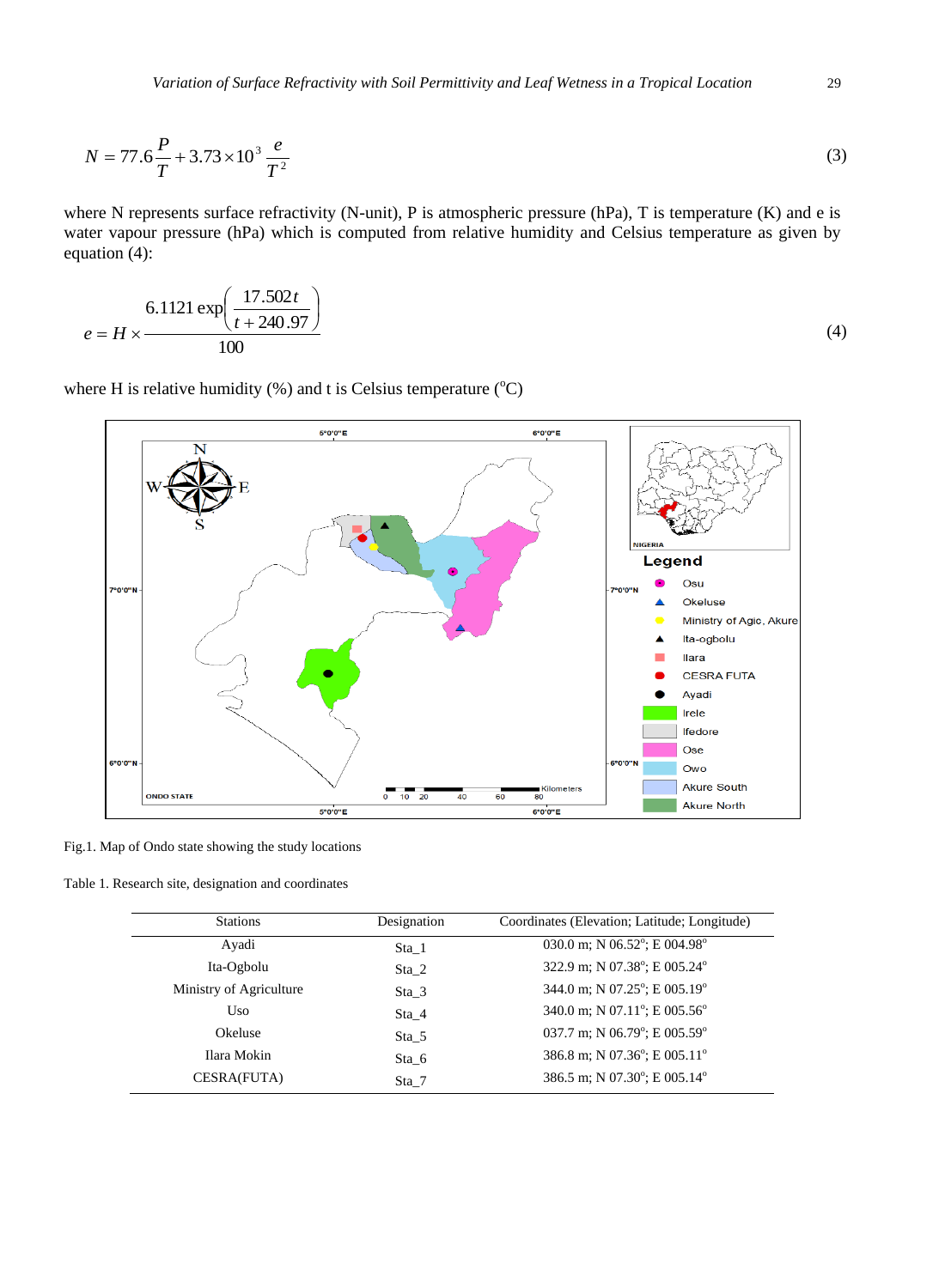$$
N = 77.6 \frac{P}{T} + 3.73 \times 10^3 \frac{e}{T^2}
$$
 (3)

where N represents surface refractivity (N-unit), P is atmospheric pressure (hPa), T is temperature (K) and e is water vapour pressure (hPa) which is computed from relative humidity and Celsius temperature as given by equation (4):

$$
e = H \times \frac{6.1121 \exp\left(\frac{17.502t}{t + 240.97}\right)}{100}
$$
(4)

where H is relative humidity (%) and t is Celsius temperature ( $^{\circ}$ C)



Fig.1. Map of Ondo state showing the study locations

Table 1. Research site, designation and coordinates

| <b>Stations</b>         | Designation | Coordinates (Elevation; Latitude; Longitude)      |
|-------------------------|-------------|---------------------------------------------------|
| Avadi                   | Sta 1       | 030.0 m; N 06.52°; E 004.98°                      |
| Ita-Ogbolu              | Sta 2       | 322.9 m; N 07.38°; E 005.24°                      |
| Ministry of Agriculture | Sta 3       | 344.0 m; N 07.25°; E 005.19°                      |
| Uso                     | Sta 4       | 340.0 m; N 07.11°; E 005.56°                      |
| Okeluse                 | Sta 5       | 037.7 m; N 06.79 $^{\circ}$ ; E 005.59 $^{\circ}$ |
| Ilara Mokin             | Sta 6       | 386.8 m; N 07.36°; E 005.11°                      |
| CESRA(FUTA)             | Sta 7       | 386.5 m; N 07.30°; E 005.14°                      |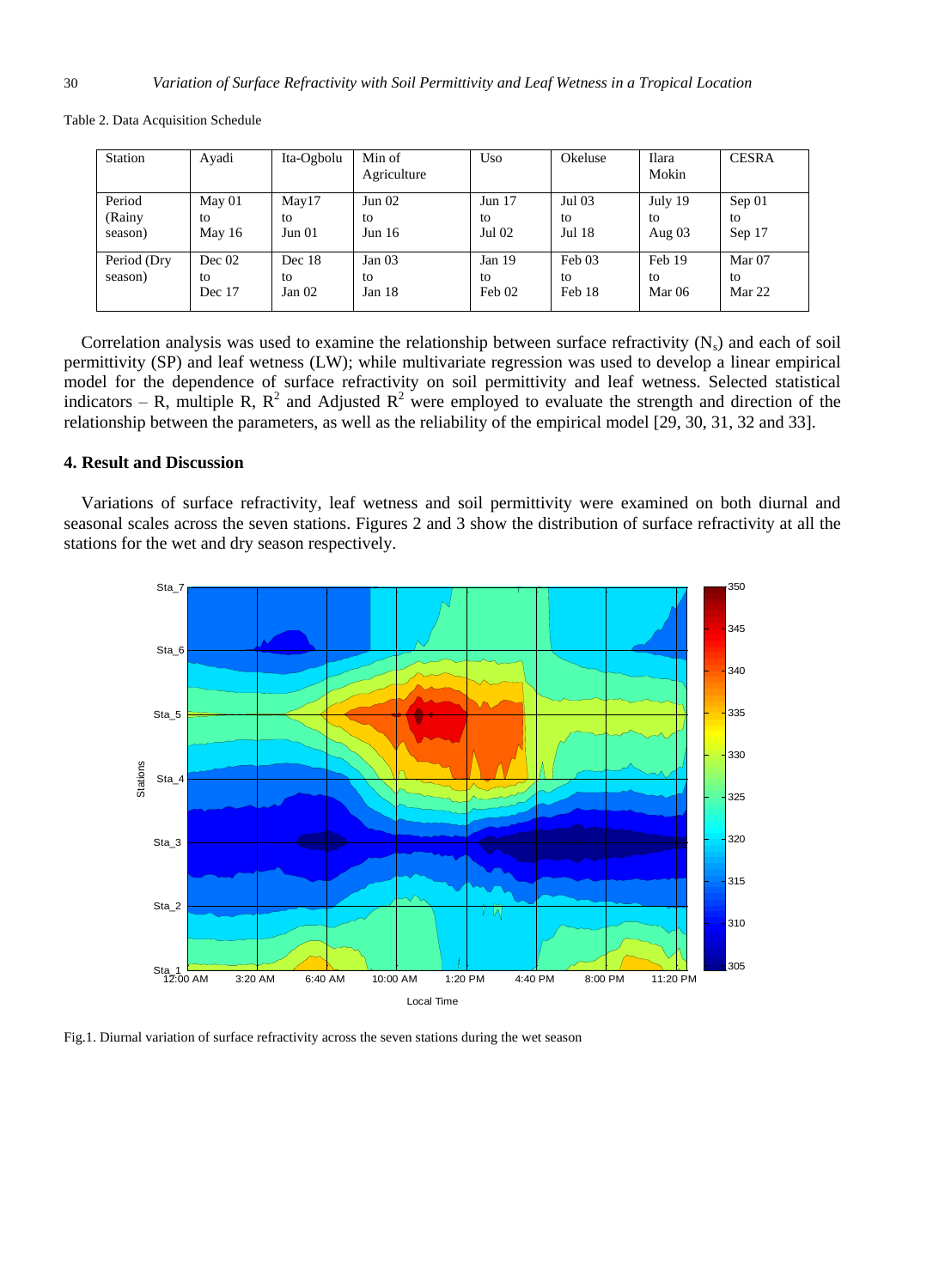| Station     | Avadi  | Ita-Ogbolu        | Min of<br>Agriculture | Uso      | Okeluse | Ilara<br>Mokin | <b>CESRA</b> |
|-------------|--------|-------------------|-----------------------|----------|---------|----------------|--------------|
| Period      | May 01 | May17             | Jun 02                | Jun $17$ | Jul 03  | July 19        | Sep 01       |
| (Rainy      | to     | to                | to                    | to       | to      | tο             | to           |
| season)     | May 16 | Jun 01            | Jun $16$              | Jul 02   | Jul 18  | Aug $03$       | Sep 17       |
| Period (Dry | Dec 02 | Dec 18            | Jan $03$              | Jan 19   | Feb 03  | Feb 19         | Mar 07       |
| season)     | to     | to                | to                    | to       | to      | to             | to           |
|             | Dec 17 | Jan <sub>02</sub> | Jan 18                | Feb 02   | Feb 18  | Mar 06         | Mar 22       |

Table 2. Data Acquisition Schedule

Correlation analysis was used to examine the relationship between surface refractivity  $(N_s)$  and each of soil permittivity (SP) and leaf wetness (LW); while multivariate regression was used to develop a linear empirical model for the dependence of surface refractivity on soil permittivity and leaf wetness. Selected statistical indicators – R, multiple R,  $R^2$  and Adjusted  $R^2$  were employed to evaluate the strength and direction of the relationship between the parameters, as well as the reliability of the empirical model [29, 30, 31, 32 and 33].

#### **4. Result and Discussion**

Variations of surface refractivity, leaf wetness and soil permittivity were examined on both diurnal and seasonal scales across the seven stations. Figures 2 and 3 show the distribution of surface refractivity at all the stations for the wet and dry season respectively.



Fig.1. Diurnal variation of surface refractivity across the seven stations during the wet season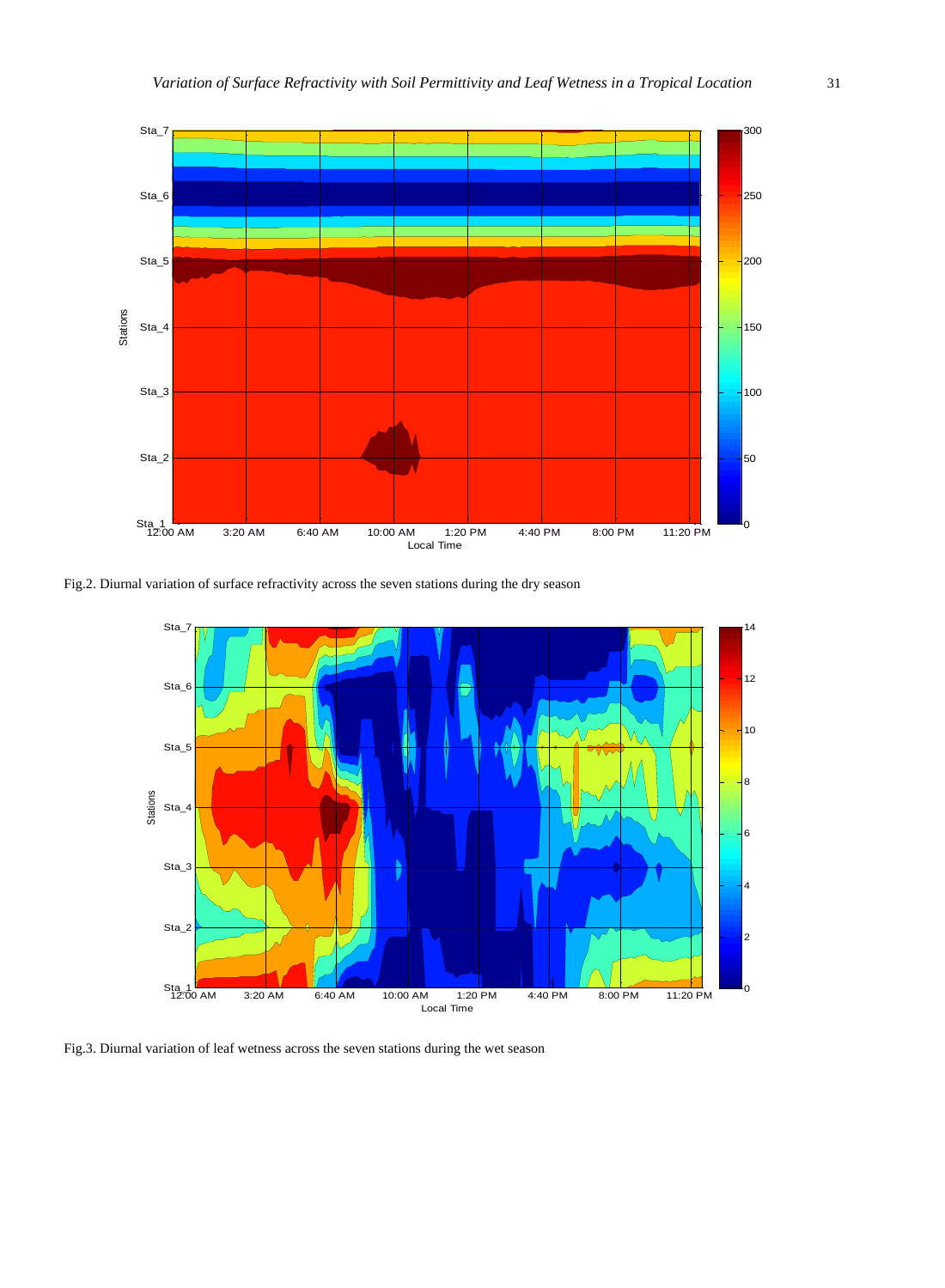

Fig.2. Diurnal variation of surface refractivity across the seven stations during the dry season



Fig.3. Diurnal variation of leaf wetness across the seven stations during the wet season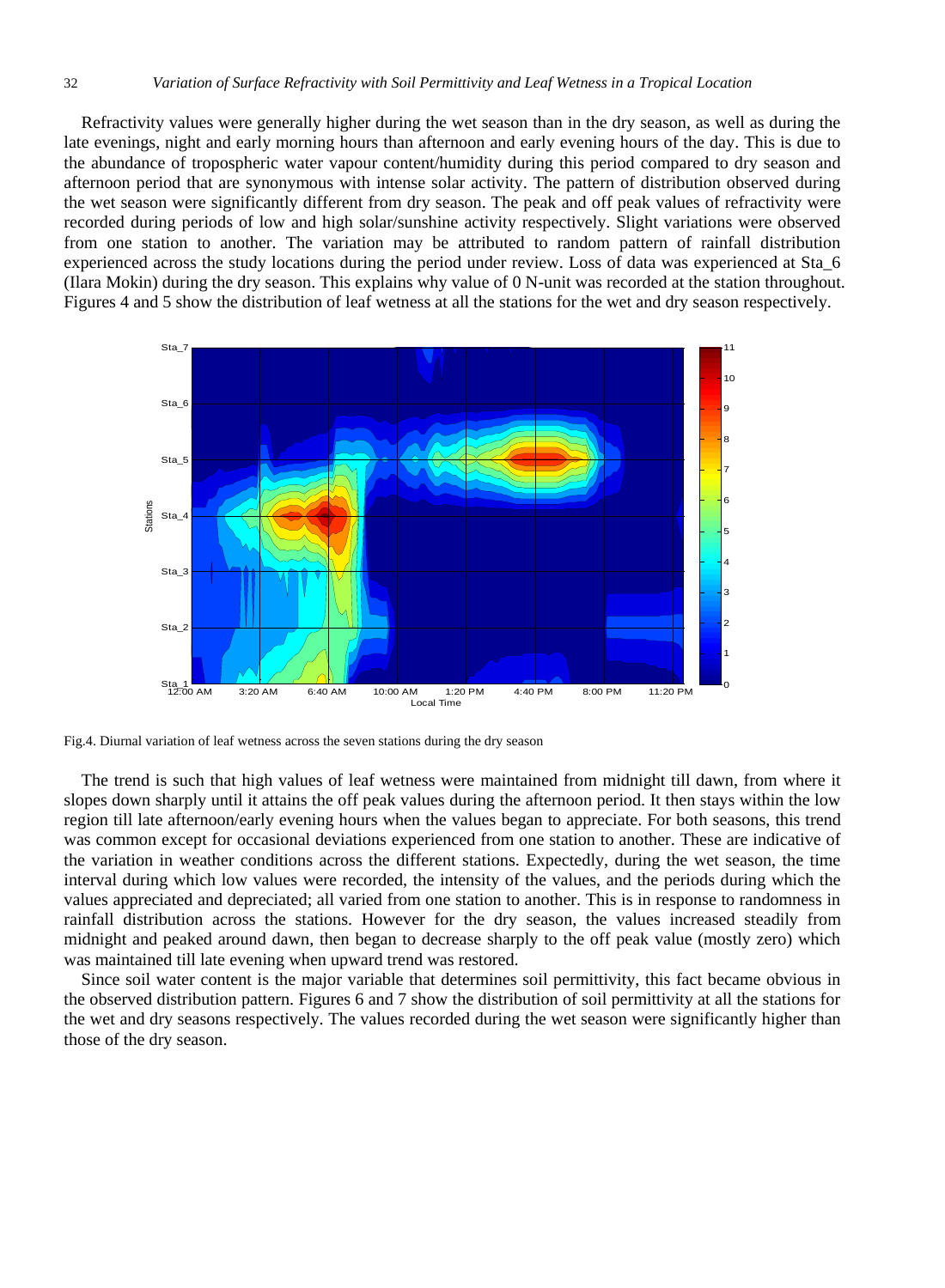Refractivity values were generally higher during the wet season than in the dry season, as well as during the late evenings, night and early morning hours than afternoon and early evening hours of the day. This is due to the abundance of tropospheric water vapour content/humidity during this period compared to dry season and afternoon period that are synonymous with intense solar activity. The pattern of distribution observed during the wet season were significantly different from dry season. The peak and off peak values of refractivity were recorded during periods of low and high solar/sunshine activity respectively. Slight variations were observed from one station to another. The variation may be attributed to random pattern of rainfall distribution experienced across the study locations during the period under review. Loss of data was experienced at Sta\_6 (Ilara Mokin) during the dry season. This explains why value of 0 N-unit was recorded at the station throughout. Figures 4 and 5 show the distribution of leaf wetness at all the stations for the wet and dry season respectively.



Fig.4. Diurnal variation of leaf wetness across the seven stations during the dry season

The trend is such that high values of leaf wetness were maintained from midnight till dawn, from where it slopes down sharply until it attains the off peak values during the afternoon period. It then stays within the low region till late afternoon/early evening hours when the values began to appreciate. For both seasons, this trend was common except for occasional deviations experienced from one station to another. These are indicative of the variation in weather conditions across the different stations. Expectedly, during the wet season, the time interval during which low values were recorded, the intensity of the values, and the periods during which the values appreciated and depreciated; all varied from one station to another. This is in response to randomness in rainfall distribution across the stations. However for the dry season, the values increased steadily from midnight and peaked around dawn, then began to decrease sharply to the off peak value (mostly zero) which was maintained till late evening when upward trend was restored.

Since soil water content is the major variable that determines soil permittivity, this fact became obvious in the observed distribution pattern. Figures 6 and 7 show the distribution of soil permittivity at all the stations for the wet and dry seasons respectively. The values recorded during the wet season were significantly higher than those of the dry season.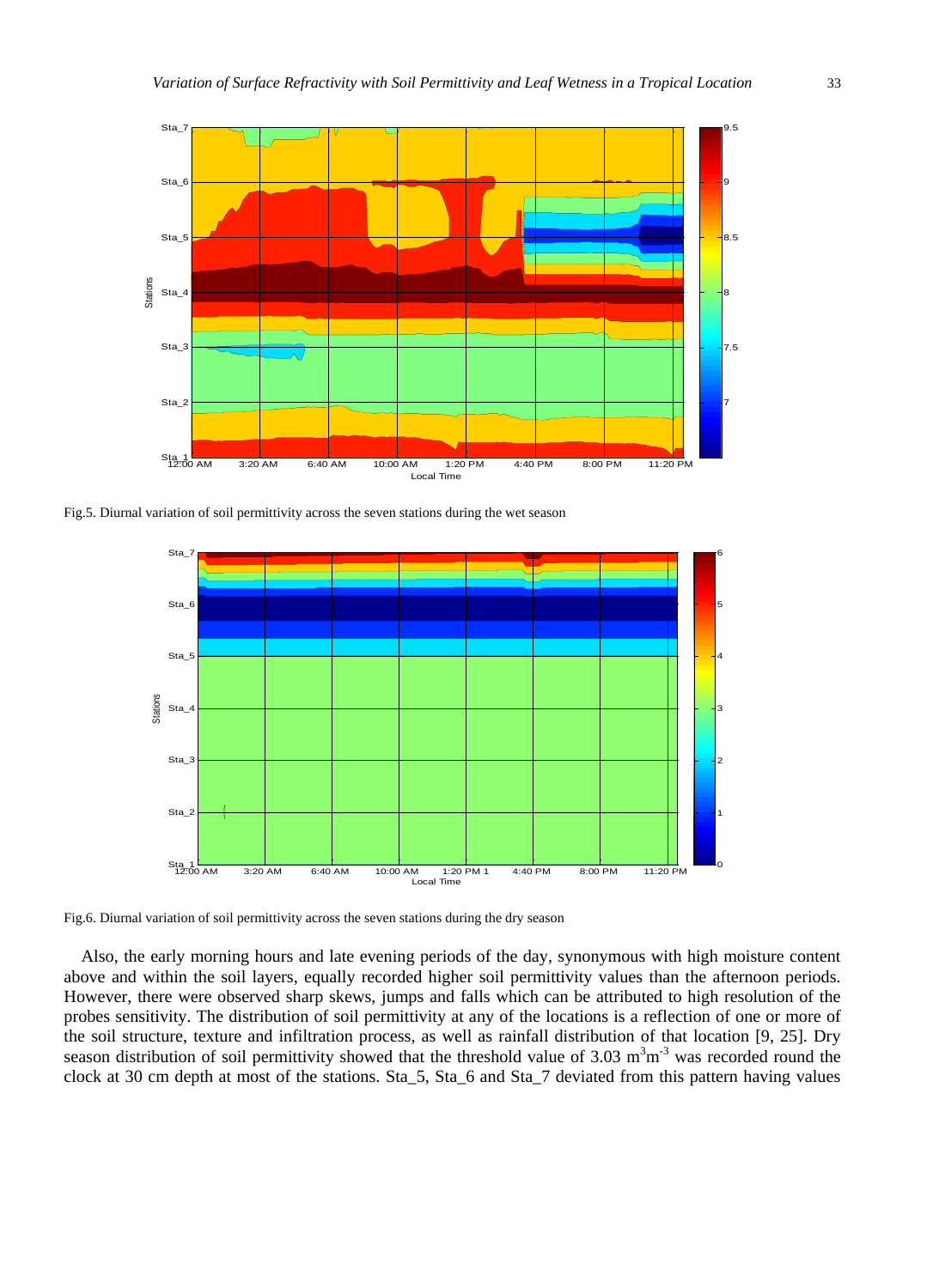

Fig.5. Diurnal variation of soil permittivity across the seven stations during the wet season



Fig.6. Diurnal variation of soil permittivity across the seven stations during the dry season

Also, the early morning hours and late evening periods of the day, synonymous with high moisture content above and within the soil layers, equally recorded higher soil permittivity values than the afternoon periods. However, there were observed sharp skews, jumps and falls which can be attributed to high resolution of the probes sensitivity. The distribution of soil permittivity at any of the locations is a reflection of one or more of the soil structure, texture and infiltration process, as well as rainfall distribution of that location [9, 25]. Dry season distribution of soil permittivity showed that the threshold value of  $3.03 \text{ m}^3\text{m}^3$  was recorded round the clock at 30 cm depth at most of the stations. Sta\_5, Sta\_6 and Sta\_7 deviated from this pattern having values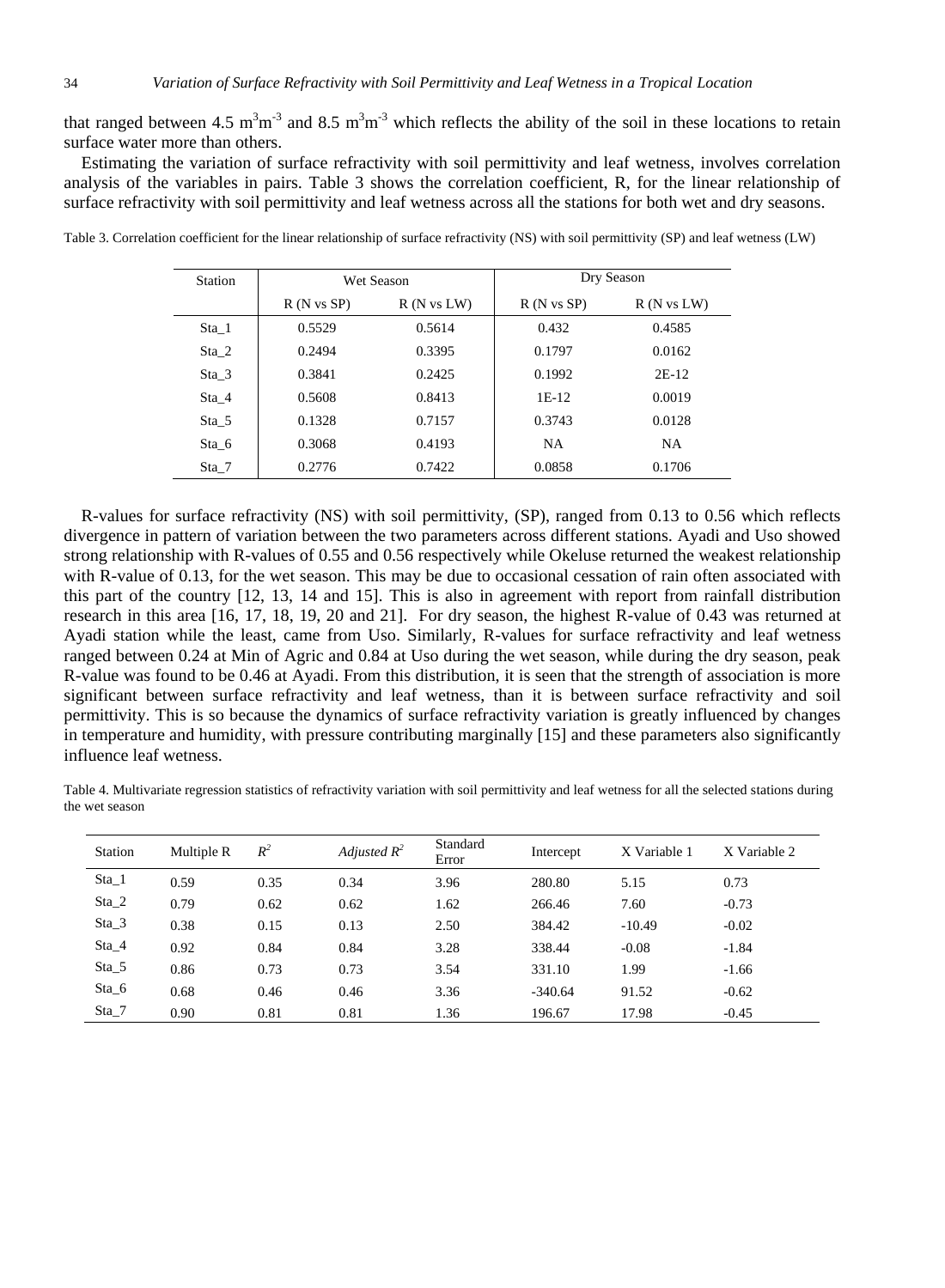that ranged between 4.5 m<sup>3</sup>m<sup>-3</sup> and 8.5 m<sup>3</sup>m<sup>-3</sup> which reflects the ability of the soil in these locations to retain surface water more than others.

Estimating the variation of surface refractivity with soil permittivity and leaf wetness, involves correlation analysis of the variables in pairs. Table 3 shows the correlation coefficient, R, for the linear relationship of surface refractivity with soil permittivity and leaf wetness across all the stations for both wet and dry seasons.

| Station |                       | Wet Season            | Dry Season            |                       |  |
|---------|-----------------------|-----------------------|-----------------------|-----------------------|--|
|         | $R(N \text{ vs } SP)$ | $R(N \text{ vs } LW)$ | $R(N \text{ vs } SP)$ | $R(N \text{ vs } LW)$ |  |
| Sta 1   | 0.5529                | 0.5614                | 0.432                 | 0.4585                |  |
| Sta 2   | 0.2494                | 0.3395                | 0.1797                | 0.0162                |  |
| Sta 3   | 0.3841                | 0.2425                | 0.1992                | $2E-12$               |  |
| Sta 4   | 0.5608                | 0.8413                | $1E-12$               | 0.0019                |  |
| Sta 5   | 0.1328                | 0.7157                | 0.3743                | 0.0128                |  |
| Sta 6   | 0.3068                | 0.4193                | <b>NA</b>             | <b>NA</b>             |  |
| $Sta_7$ | 0.2776                | 0.7422                | 0.0858                | 0.1706                |  |

Table 3. Correlation coefficient for the linear relationship of surface refractivity (NS) with soil permittivity (SP) and leaf wetness (LW)

R-values for surface refractivity (NS) with soil permittivity, (SP), ranged from 0.13 to 0.56 which reflects divergence in pattern of variation between the two parameters across different stations. Ayadi and Uso showed strong relationship with R-values of 0.55 and 0.56 respectively while Okeluse returned the weakest relationship with R-value of 0.13, for the wet season. This may be due to occasional cessation of rain often associated with this part of the country [12, 13, 14 and 15]. This is also in agreement with report from rainfall distribution research in this area [16, 17, 18, 19, 20 and 21]. For dry season, the highest R-value of 0.43 was returned at Ayadi station while the least, came from Uso. Similarly, R-values for surface refractivity and leaf wetness ranged between 0.24 at Min of Agric and 0.84 at Uso during the wet season, while during the dry season, peak R-value was found to be 0.46 at Ayadi. From this distribution, it is seen that the strength of association is more significant between surface refractivity and leaf wetness, than it is between surface refractivity and soil permittivity. This is so because the dynamics of surface refractivity variation is greatly influenced by changes in temperature and humidity, with pressure contributing marginally [15] and these parameters also significantly influence leaf wetness.

Table 4. Multivariate regression statistics of refractivity variation with soil permittivity and leaf wetness for all the selected stations during the wet season

| Station | Multiple R | $R^2$ | Adjusted $R^2$ | Standard<br>Error | Intercept | X Variable 1 | X Variable 2 |
|---------|------------|-------|----------------|-------------------|-----------|--------------|--------------|
| $Sta_1$ | 0.59       | 0.35  | 0.34           | 3.96              | 280.80    | 5.15         | 0.73         |
| $Sta_2$ | 0.79       | 0.62  | 0.62           | 1.62              | 266.46    | 7.60         | $-0.73$      |
| $Sta_3$ | 0.38       | 0.15  | 0.13           | 2.50              | 384.42    | $-10.49$     | $-0.02$      |
| $Sta_4$ | 0.92       | 0.84  | 0.84           | 3.28              | 338.44    | $-0.08$      | $-1.84$      |
| $Sta_5$ | 0.86       | 0.73  | 0.73           | 3.54              | 331.10    | 1.99         | $-1.66$      |
| $Sta_6$ | 0.68       | 0.46  | 0.46           | 3.36              | $-340.64$ | 91.52        | $-0.62$      |
| $Sta_7$ | 0.90       | 0.81  | 0.81           | 1.36              | 196.67    | 17.98        | $-0.45$      |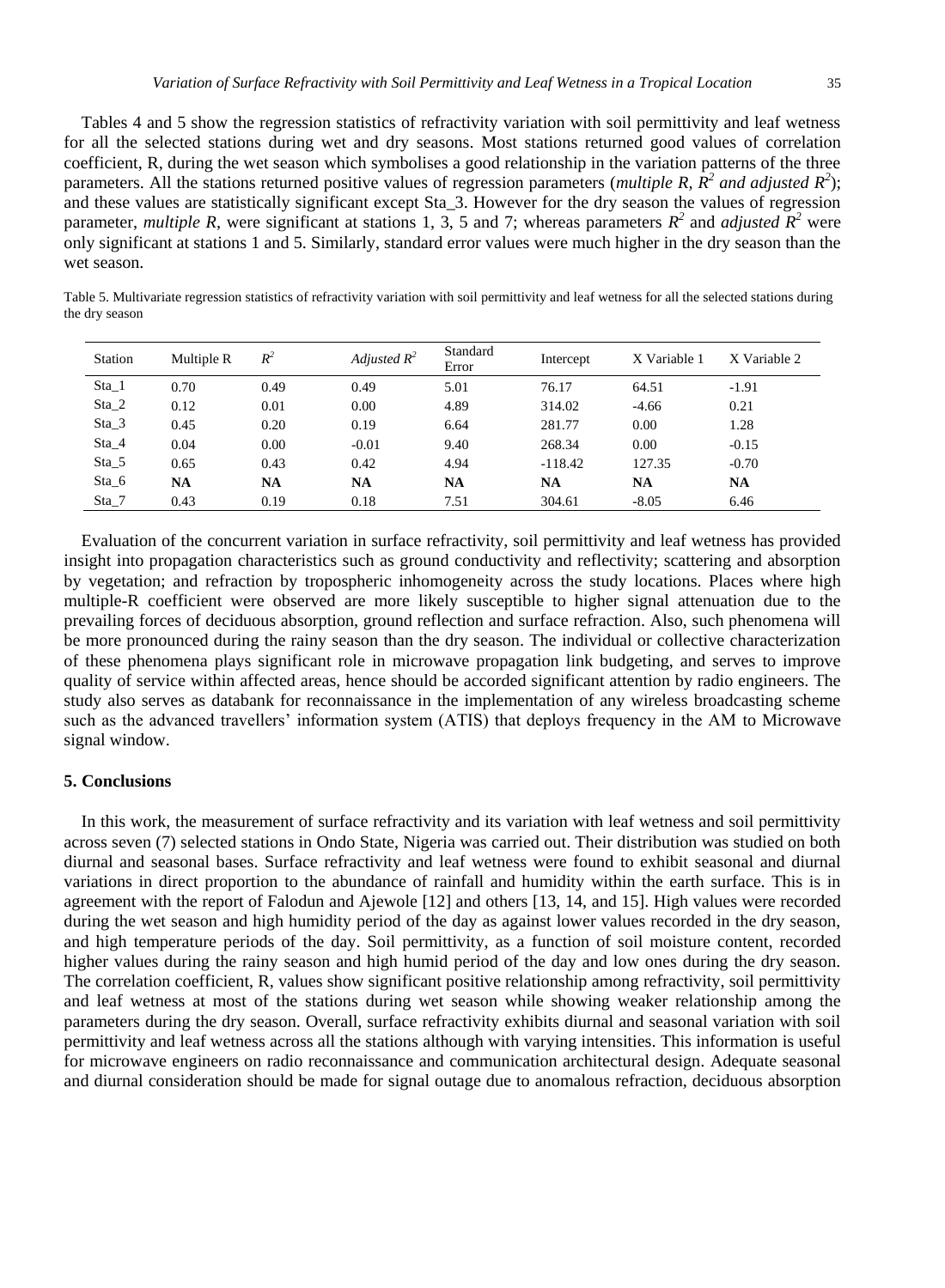Tables 4 and 5 show the regression statistics of refractivity variation with soil permittivity and leaf wetness for all the selected stations during wet and dry seasons. Most stations returned good values of correlation coefficient, R, during the wet season which symbolises a good relationship in the variation patterns of the three parameters. All the stations returned positive values of regression parameters (*multiple R,*  $R^2$  *and adjusted*  $R^2$ ); and these values are statistically significant except Sta\_3. However for the dry season the values of regression parameter, *multiple R*, were significant at stations 1, 3, 5 and 7; whereas parameters  $R^2$  and *adjusted*  $R^2$  were only significant at stations 1 and 5. Similarly, standard error values were much higher in the dry season than the wet season.

Table 5. Multivariate regression statistics of refractivity variation with soil permittivity and leaf wetness for all the selected stations during the dry season

| Station | Multiple R | $R^2$     | Adjusted $R^2$ | Standard<br>Error | Intercept | X Variable 1 | X Variable 2 |
|---------|------------|-----------|----------------|-------------------|-----------|--------------|--------------|
| $Sta_1$ | 0.70       | 0.49      | 0.49           | 5.01              | 76.17     | 64.51        | $-1.91$      |
| $Sta_2$ | 0.12       | 0.01      | 0.00           | 4.89              | 314.02    | $-4.66$      | 0.21         |
| $Sta_3$ | 0.45       | 0.20      | 0.19           | 6.64              | 281.77    | 0.00         | 1.28         |
| $Sta_4$ | 0.04       | 0.00      | $-0.01$        | 9.40              | 268.34    | 0.00         | $-0.15$      |
| $Sta_5$ | 0.65       | 0.43      | 0.42           | 4.94              | $-118.42$ | 127.35       | $-0.70$      |
| $Sta_6$ | NA         | <b>NA</b> | <b>NA</b>      | <b>NA</b>         | NA        | <b>NA</b>    | NA           |
| $Sta_7$ | 0.43       | 0.19      | 0.18           | 7.51              | 304.61    | $-8.05$      | 6.46         |

Evaluation of the concurrent variation in surface refractivity, soil permittivity and leaf wetness has provided insight into propagation characteristics such as ground conductivity and reflectivity; scattering and absorption by vegetation; and refraction by tropospheric inhomogeneity across the study locations. Places where high multiple-R coefficient were observed are more likely susceptible to higher signal attenuation due to the prevailing forces of deciduous absorption, ground reflection and surface refraction. Also, such phenomena will be more pronounced during the rainy season than the dry season. The individual or collective characterization of these phenomena plays significant role in microwave propagation link budgeting, and serves to improve quality of service within affected areas, hence should be accorded significant attention by radio engineers. The study also serves as databank for reconnaissance in the implementation of any wireless broadcasting scheme such as the advanced travellers' information system (ATIS) that deploys frequency in the AM to Microwave signal window.

#### **5. Conclusions**

In this work, the measurement of surface refractivity and its variation with leaf wetness and soil permittivity across seven (7) selected stations in Ondo State, Nigeria was carried out. Their distribution was studied on both diurnal and seasonal bases. Surface refractivity and leaf wetness were found to exhibit seasonal and diurnal variations in direct proportion to the abundance of rainfall and humidity within the earth surface. This is in agreement with the report of Falodun and Ajewole [12] and others [13, 14, and 15]. High values were recorded during the wet season and high humidity period of the day as against lower values recorded in the dry season, and high temperature periods of the day. Soil permittivity, as a function of soil moisture content, recorded higher values during the rainy season and high humid period of the day and low ones during the dry season. The correlation coefficient, R, values show significant positive relationship among refractivity, soil permittivity and leaf wetness at most of the stations during wet season while showing weaker relationship among the parameters during the dry season. Overall, surface refractivity exhibits diurnal and seasonal variation with soil permittivity and leaf wetness across all the stations although with varying intensities. This information is useful for microwave engineers on radio reconnaissance and communication architectural design. Adequate seasonal and diurnal consideration should be made for signal outage due to anomalous refraction, deciduous absorption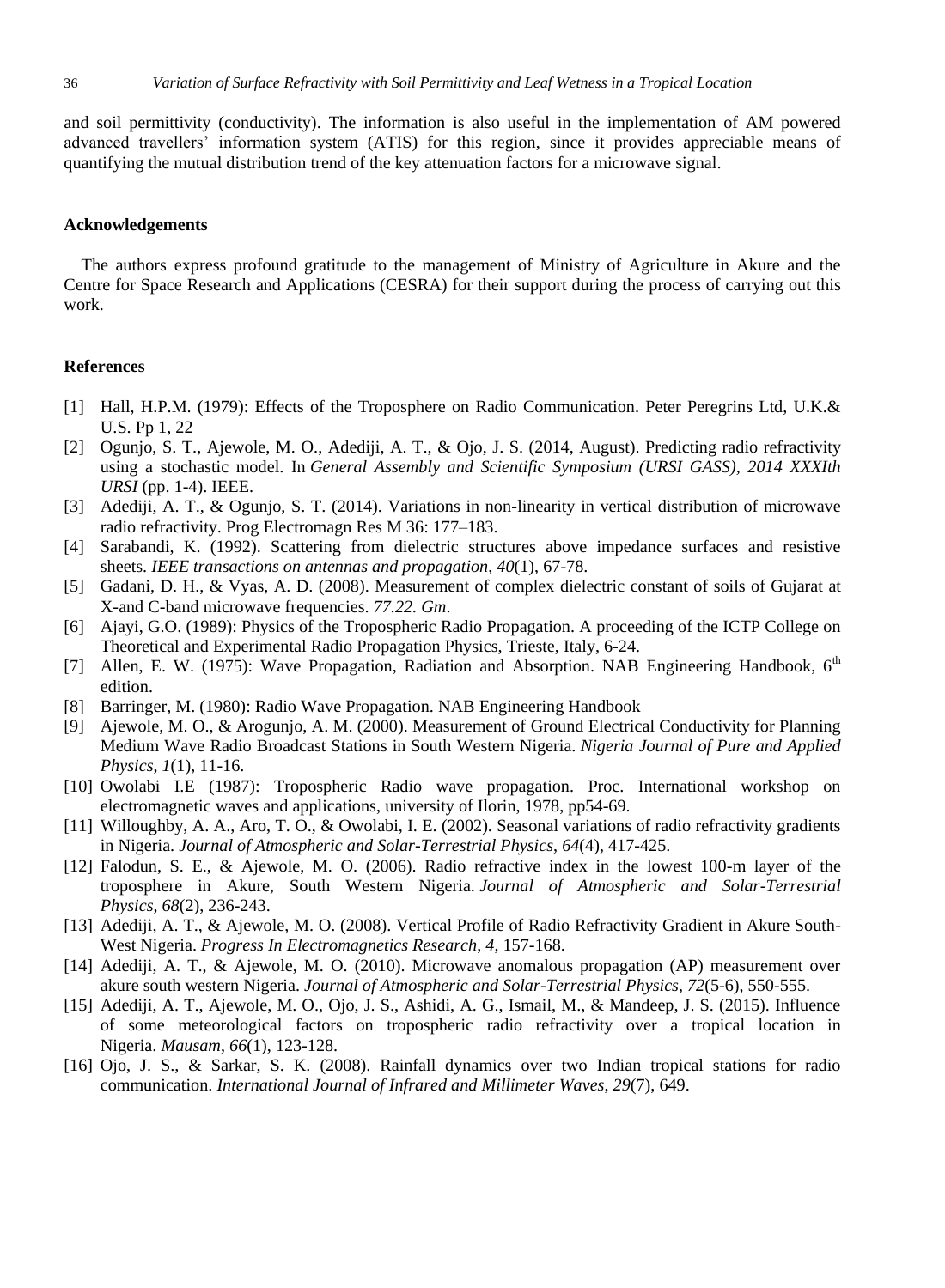and soil permittivity (conductivity). The information is also useful in the implementation of AM powered advanced travellers' information system (ATIS) for this region, since it provides appreciable means of quantifying the mutual distribution trend of the key attenuation factors for a microwave signal.

# **Acknowledgements**

The authors express profound gratitude to the management of Ministry of Agriculture in Akure and the Centre for Space Research and Applications (CESRA) for their support during the process of carrying out this work.

# **References**

- [1] Hall, H.P.M. (1979): Effects of the Troposphere on Radio Communication. Peter Peregrins Ltd, U.K.& U.S. Pp 1, 22
- [2] Ogunjo, S. T., Ajewole, M. O., Adediji, A. T., & Ojo, J. S. (2014, August). Predicting radio refractivity using a stochastic model. In *General Assembly and Scientific Symposium (URSI GASS), 2014 XXXIth URSI* (pp. 1-4). IEEE.
- [3] Adediji, A. T., & Ogunjo, S. T. (2014). Variations in non-linearity in vertical distribution of microwave radio refractivity. Prog Electromagn Res M 36: 177–183.
- [4] Sarabandi, K. (1992). Scattering from dielectric structures above impedance surfaces and resistive sheets. *IEEE transactions on antennas and propagation*, *40*(1), 67-78.
- [5] Gadani, D. H., & Vyas, A. D. (2008). Measurement of complex dielectric constant of soils of Gujarat at X-and C-band microwave frequencies. *77.22. Gm*.
- [6] Ajayi, G.O. (1989): Physics of the Tropospheric Radio Propagation. A proceeding of the ICTP College on Theoretical and Experimental Radio Propagation Physics, Trieste, Italy, 6-24.
- [7] Allen, E. W. (1975): Wave Propagation, Radiation and Absorption. NAB Engineering Handbook, 6<sup>th</sup> edition.
- [8] Barringer, M. (1980): Radio Wave Propagation. NAB Engineering Handbook
- [9] Ajewole, M. O., & Arogunjo, A. M. (2000). Measurement of Ground Electrical Conductivity for Planning Medium Wave Radio Broadcast Stations in South Western Nigeria. *Nigeria Journal of Pure and Applied Physics*, *1*(1), 11-16.
- [10] Owolabi I.E (1987): Tropospheric Radio wave propagation. Proc. International workshop on electromagnetic waves and applications, university of Ilorin, 1978, pp54-69.
- [11] Willoughby, A. A., Aro, T. O., & Owolabi, I. E. (2002). Seasonal variations of radio refractivity gradients in Nigeria. *Journal of Atmospheric and Solar-Terrestrial Physics*, *64*(4), 417-425.
- [12] Falodun, S. E., & Ajewole, M. O. (2006). Radio refractive index in the lowest 100-m layer of the troposphere in Akure, South Western Nigeria. *Journal of Atmospheric and Solar-Terrestrial Physics*, *68*(2), 236-243.
- [13] Adediji, A. T., & Ajewole, M. O. (2008). Vertical Profile of Radio Refractivity Gradient in Akure South-West Nigeria. *Progress In Electromagnetics Research*, *4*, 157-168.
- [14] Adediji, A. T., & Ajewole, M. O. (2010). Microwave anomalous propagation (AP) measurement over akure south western Nigeria. *Journal of Atmospheric and Solar-Terrestrial Physics*, *72*(5-6), 550-555.
- [15] Adediji, A. T., Ajewole, M. O., Ojo, J. S., Ashidi, A. G., Ismail, M., & Mandeep, J. S. (2015). Influence of some meteorological factors on tropospheric radio refractivity over a tropical location in Nigeria. *Mausam*, *66*(1), 123-128.
- [16] Ojo, J. S., & Sarkar, S. K. (2008). Rainfall dynamics over two Indian tropical stations for radio communication. *International Journal of Infrared and Millimeter Waves*, *29*(7), 649.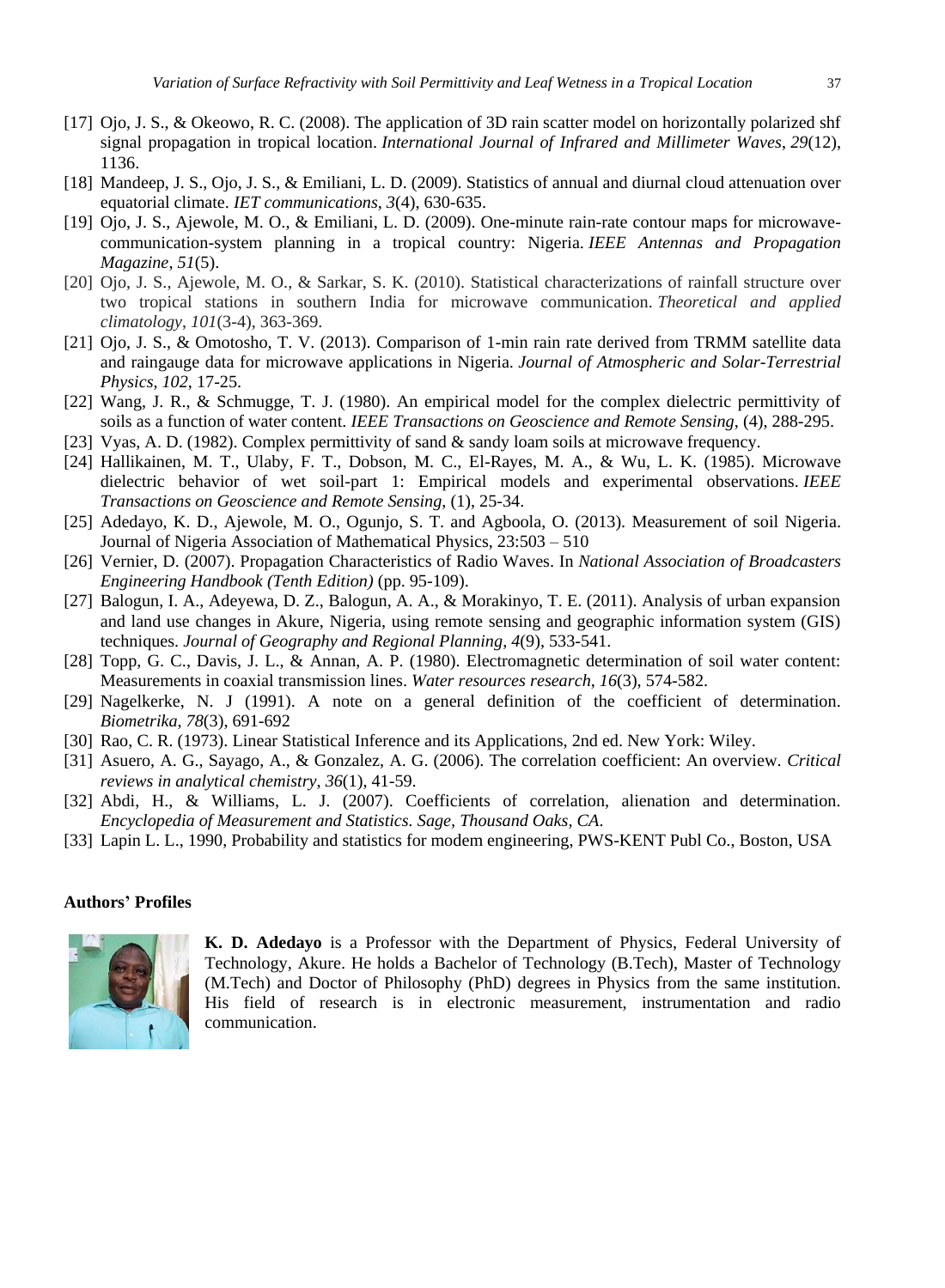- [17] Ojo, J. S., & Okeowo, R. C. (2008). The application of 3D rain scatter model on horizontally polarized shf signal propagation in tropical location. *International Journal of Infrared and Millimeter Waves*, *29*(12), 1136.
- [18] Mandeep, J. S., Ojo, J. S., & Emiliani, L. D. (2009). Statistics of annual and diurnal cloud attenuation over equatorial climate. *IET communications*, *3*(4), 630-635.
- [19] Ojo, J. S., Ajewole, M. O., & Emiliani, L. D. (2009). One-minute rain-rate contour maps for microwavecommunication-system planning in a tropical country: Nigeria. *IEEE Antennas and Propagation Magazine*, *51*(5).
- [20] Ojo, J. S., Ajewole, M. O., & Sarkar, S. K. (2010). Statistical characterizations of rainfall structure over two tropical stations in southern India for microwave communication. *Theoretical and applied climatology*, *101*(3-4), 363-369.
- [21] Ojo, J. S., & Omotosho, T. V. (2013). Comparison of 1-min rain rate derived from TRMM satellite data and raingauge data for microwave applications in Nigeria. *Journal of Atmospheric and Solar-Terrestrial Physics*, *102*, 17-25.
- [22] Wang, J. R., & Schmugge, T. J. (1980). An empirical model for the complex dielectric permittivity of soils as a function of water content. *IEEE Transactions on Geoscience and Remote Sensing*, (4), 288-295.
- [23] Vyas, A. D. (1982). Complex permittivity of sand & sandy loam soils at microwave frequency.
- [24] Hallikainen, M. T., Ulaby, F. T., Dobson, M. C., El-Rayes, M. A., & Wu, L. K. (1985). Microwave dielectric behavior of wet soil-part 1: Empirical models and experimental observations. *IEEE Transactions on Geoscience and Remote Sensing*, (1), 25-34.
- [25] Adedayo, K. D., Ajewole, M. O., Ogunjo, S. T. and Agboola, O. (2013). Measurement of soil Nigeria. Journal of Nigeria Association of Mathematical Physics, 23:503 – 510
- [26] Vernier, D. (2007). Propagation Characteristics of Radio Waves. In *National Association of Broadcasters Engineering Handbook (Tenth Edition)* (pp. 95-109).
- [27] Balogun, I. A., Adeyewa, D. Z., Balogun, A. A., & Morakinyo, T. E. (2011). Analysis of urban expansion and land use changes in Akure, Nigeria, using remote sensing and geographic information system (GIS) techniques. *Journal of Geography and Regional Planning*, *4*(9), 533-541.
- [28] Topp, G. C., Davis, J. L., & Annan, A. P. (1980). Electromagnetic determination of soil water content: Measurements in coaxial transmission lines. *Water resources research*, *16*(3), 574-582.
- [29] Nagelkerke, N. J (1991). A note on a general definition of the coefficient of determination. *Biometrika*, *78*(3), 691-692
- [30] Rao, C. R. (1973). Linear Statistical Inference and its Applications, 2nd ed. New York: Wiley.
- [31] Asuero, A. G., Sayago, A., & Gonzalez, A. G. (2006). The correlation coefficient: An overview. *Critical reviews in analytical chemistry*, *36*(1), 41-59.
- [32] Abdi, H., & Williams, L. J. (2007). Coefficients of correlation, alienation and determination. *Encyclopedia of Measurement and Statistics. Sage, Thousand Oaks, CA*.
- [33] Lapin L. L., 1990, Probability and statistics for modem engineering, PWS-KENT Publ Co., Boston, USA

#### **Authors' Profiles**



**K. D. Adedayo** is a Professor with the Department of Physics, Federal University of Technology, Akure. He holds a Bachelor of Technology (B.Tech), Master of Technology (M.Tech) and Doctor of Philosophy (PhD) degrees in Physics from the same institution. His field of research is in electronic measurement, instrumentation and radio communication.